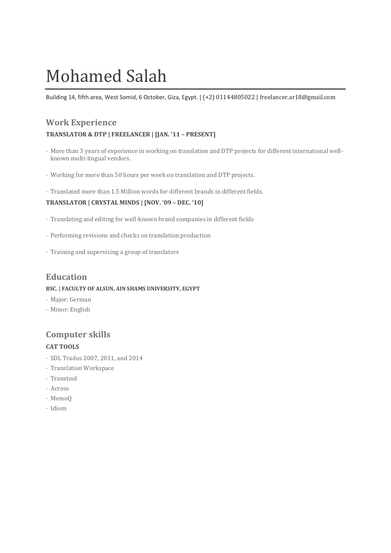# Mohamed Salah

Building 14, fifth area, West Somid, 6 October, Giza, Egypt. | (+2) 01144805022 | freelancer.ar18@gmail.com

# **Work Experience**

#### **TRANSLATOR & DTP | FREELANCER | [JAN. '11 – PRESENT]**

- · More than 3 years of experience in working on translation and DTP projects for different international wellknown multi-lingual vendors.
- · Working for more than 50 hours per week on translation and DTP projects.
- · Translated more than 1.5 Million words for different brands in different fields.

## **TRANSLATOR | CRYSTAL MINDS | [NOV. '09 – DEC. '10]**

- · Translating and editing for well-known brand companies in different fields
- · Performing revisions and checks on translation production
- · Training and supervising a group of translators

## **Education**

#### **BSC. | FACULTY OF ALSUN, AIN SHAMS UNIVERSITY, EGYPT**

- · Major: German
- · Minor: English

## **Computer skills**

## **CAT TOOLS**

- · SDL Trados 2007, 2011, and 2014
- · Translation Workspace
- · Transtool
- · Across
- · MemoQ
- · Idiom